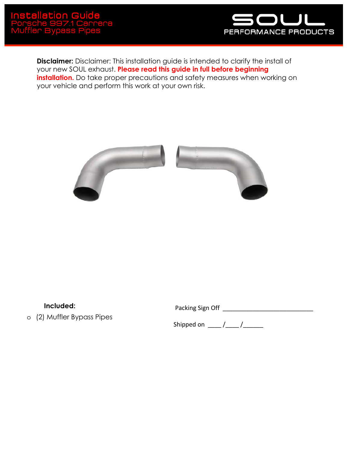

**Disclaimer:** Disclaimer: This installation guide is intended to clarify the install of your new SOUL exhaust. **Please read this guide in full before beginning installation.** Do take proper precautions and safety measures when working on your vehicle and perform this work at your own risk.



**Included:**

o (2) Muffler Bypass Pipes

Packing Sign Off \_\_\_\_\_\_\_\_\_\_\_\_\_\_\_\_\_\_\_\_\_\_\_\_\_\_\_

Shipped on  $\underline{\qquad \qquad }$  / $\underline{\qquad \qquad }$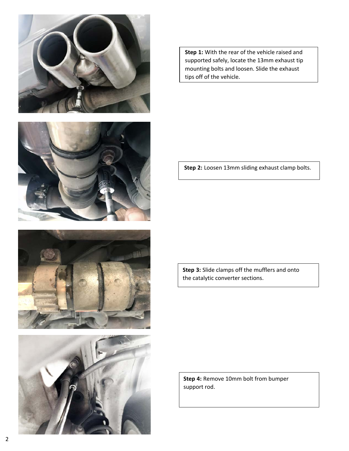







**Step 1:** With the rear of the vehicle raised and supported safely, locate the 13mm exhaust tip mounting bolts and loosen. Slide the exhaust tips off of the vehicle.

**Step 2:** Loosen 13mm sliding exhaust clamp bolts.

**Step 3:** Slide clamps off the mufflers and onto the catalytic converter sections.

**Step 4:** Remove 10mm bolt from bumper support rod.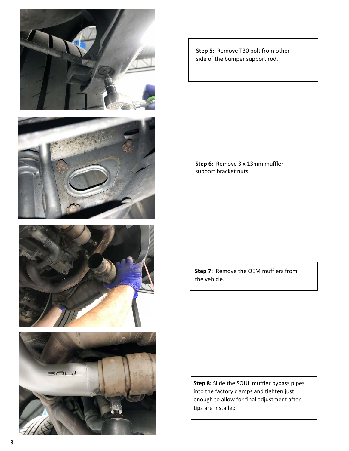



**Step 5:** Remove T30 bolt from other side of the bumper support rod.

**Step 6:** Remove 3 x 13mm muffler support bracket nuts.

**Step 7:** Remove the OEM mufflers from the vehicle.

**Step 8:** Slide the SOUL muffler bypass pipes into the factory clamps and tighten just enough to allow for final adjustment after tips are installed